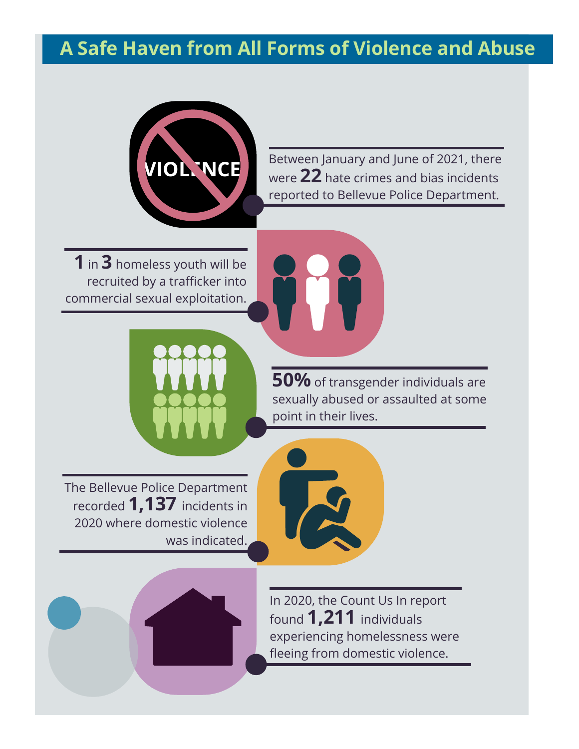## **A Safe Haven from All Forms of Violence and Abuse**



Between January and June of 2021, there were **22** hate crimes and bias incidents reported to Bellevue Police Department.

**1** in **3** homeless youth will be recruited by a trafficker into commercial sexual exploitation.



**50%** of transgender individuals are sexually abused or assaulted at some point in their lives.

The Bellevue Police Department recorded **1,137** incidents in 2020 where domestic violence was indicated.

> In 2020, the Count Us In report found **1,211** individuals experiencing homelessness were fleeing from domestic violence.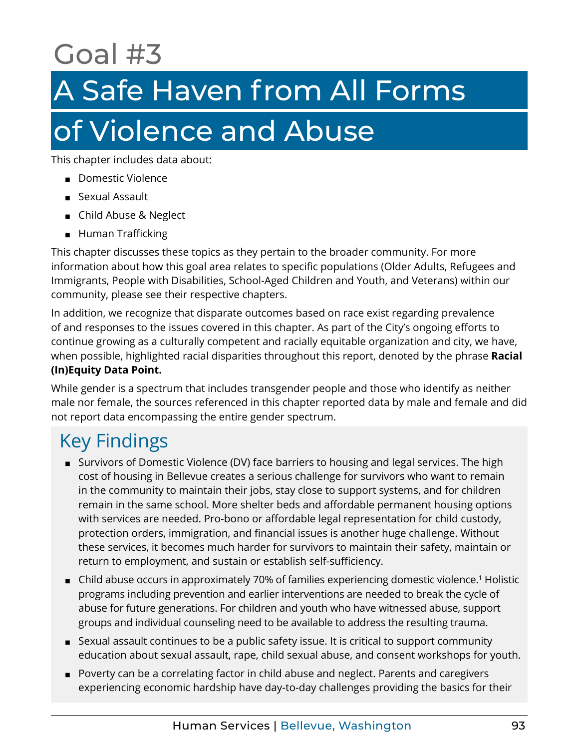# <span id="page-1-0"></span>Goal #3

# A Safe Haven from All Forms

## of Violence and Abuse

This chapter includes data about:

- Domestic Violence
- Sexual Assault
- Child Abuse & Neglect
- Human Trafficking

This chapter discusses these topics as they pertain to the broader community. For more information about how this goal area relates to specific populations (Older Adults, Refugees and Immigrants, People with Disabilities, School-Aged Children and Youth, and Veterans) within our community, please see their respective chapters.

In addition, we recognize that disparate outcomes based on race exist regarding prevalence of and responses to the issues covered in this chapter. As part of the City's ongoing efforts to continue growing as a culturally competent and racially equitable organization and city, we have, when possible, highlighted racial disparities throughout this report, denoted by the phrase **Racial (In)Equity Data Point.**

While gender is a spectrum that includes transgender people and those who identify as neither male nor female, the sources referenced in this chapter reported data by male and female and did not report data encompassing the entire gender spectrum.

## Key Findings

- Survivors of Domestic Violence (DV) face barriers to housing and legal services. The high cost of housing in Bellevue creates a serious challenge for survivors who want to remain in the community to maintain their jobs, stay close to support systems, and for children remain in the same school. More shelter beds and affordable permanent housing options with services are needed. Pro-bono or affordable legal representation for child custody, protection orders, immigration, and financial issues is another huge challenge. Without these services, it becomes much harder for survivors to maintain their safety, maintain or return to employment, and sustain or establish self-sufficiency.
- Child abuse occurs in approximately 70% of families experiencing domestic violence.<sup>1</sup> Holistic programs including prevention and earlier interventions are needed to break the cycle of abuse for future generations. For children and youth who have witnessed abuse, support groups and individual counseling need to be available to address the resulting trauma.
- Sexual assault continues to be a public safety issue. It is critical to support community education about sexual assault, rape, child sexual abuse, and consent workshops for youth.
- Poverty can be a correlating factor in child abuse and neglect. Parents and caregivers experiencing economic hardship have day-to-day challenges providing the basics for their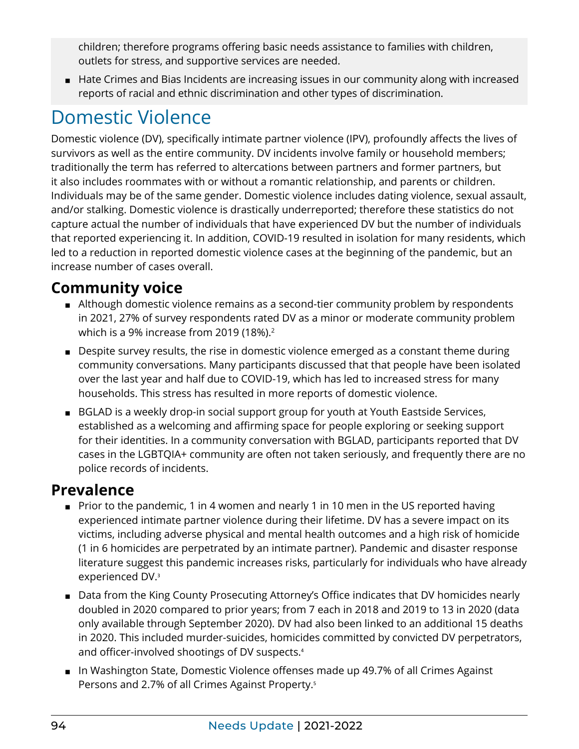<span id="page-2-0"></span>children; therefore programs offering basic needs assistance to families with children, outlets for stress, and supportive services are needed.

■ Hate Crimes and Bias Incidents are increasing issues in our community along with increased reports of racial and ethnic discrimination and other types of discrimination.

## Domestic Violence

Domestic violence (DV), specifically intimate partner violence (IPV), profoundly affects the lives of survivors as well as the entire community. DV incidents involve family or household members; traditionally the term has referred to altercations between partners and former partners, but it also includes roommates with or without a romantic relationship, and parents or children. Individuals may be of the same gender. Domestic violence includes dating violence, sexual assault, and/or stalking. Domestic violence is drastically underreported; therefore these statistics do not capture actual the number of individuals that have experienced DV but the number of individuals that reported experiencing it. In addition, COVID-19 resulted in isolation for many residents, which led to a reduction in reported domestic violence cases at the beginning of the pandemic, but an increase number of cases overall.

### **Community voice**

- Although domestic violence remains as a second-tier community problem by respondents in 2021, 27% of survey respondents rated DV as a minor or moderate community problem which is a 9% increase from [2](#page-12-0)019 (18%).<sup>2</sup>
- Despite survey results, the rise in domestic violence emerged as a constant theme during community conversations. Many participants discussed that that people have been isolated over the last year and half due to COVID-19, which has led to increased stress for many households. This stress has resulted in more reports of domestic violence.
- BGLAD is a weekly drop-in social support group for youth at Youth Eastside Services, established as a welcoming and affirming space for people exploring or seeking support for their identities. In a community conversation with BGLAD, participants reported that DV cases in the LGBTQIA+ community are often not taken seriously, and frequently there are no police records of incidents.

- $\blacksquare$  Prior to the pandemic, 1 in 4 women and nearly 1 in 10 men in the US reported having experienced intimate partner violence during their lifetime. DV has a severe impact on its victims, including adverse physical and mental health outcomes and a high risk of homicide (1 in 6 homicides are perpetrated by an intimate partner). Pandemic and disaster response literature suggest this pandemic increases risks, particularly for individuals who have already experienced DV.[3](#page-12-0)
- Data from the King County Prosecuting Attorney's Office indicates that DV homicides nearly doubled in 2020 compared to prior years; from 7 each in 2018 and 2019 to 13 in 2020 (data only available through September 2020). DV had also been linked to an additional 15 deaths in 2020. This included murder-suicides, homicides committed by convicted DV perpetrators, and officer-involved shootings of DV suspects.[4](#page-12-0)
- In Washington State, Domestic Violence offenses made up 49.7% of all Crimes Against Persons and 2.7% of all Crimes Against Property.<sup>[5](#page-12-0)</sup>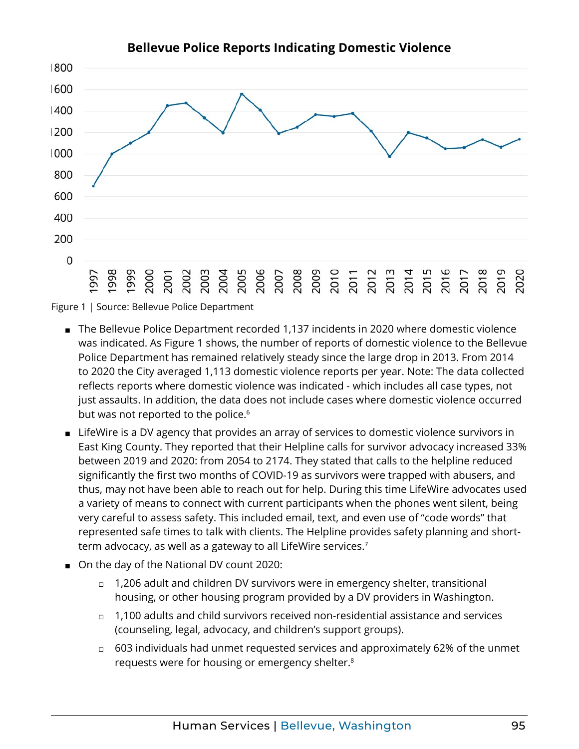<span id="page-3-0"></span>

#### **Bellevue Police Reports Indicating Domestic Violence**

Figure 1 | Source: Bellevue Police Department

- The Bellevue Police Department recorded 1,137 incidents in 2020 where domestic violence was indicated. As Figure 1 shows, the number of reports of domestic violence to the Bellevue Police Department has remained relatively steady since the large drop in 2013. From 2014 to 2020 the City averaged 1,113 domestic violence reports per year. Note: The data collected reflects reports where domestic violence was indicated - which includes all case types, not just assaults. In addition, the data does not include cases where domestic violence occurred but was not reported to the police.<sup>[6](#page-12-0)</sup>
- LifeWire is a DV agency that provides an array of services to domestic violence survivors in East King County. They reported that their Helpline calls for survivor advocacy increased 33% between 2019 and 2020: from 2054 to 2174. They stated that calls to the helpline reduced significantly the first two months of COVID-19 as survivors were trapped with abusers, and thus, may not have been able to reach out for help. During this time LifeWire advocates used a variety of means to connect with current participants when the phones went silent, being very careful to assess safety. This included email, text, and even use of "code words" that represented safe times to talk with clients. The Helpline provides safety planning and short-term advocacy, as well as a gateway to all LifeWire services.<sup>[7](#page-12-0)</sup>
- On the day of the National DV count 2020:
	- ◻ 1,206 adult and children DV survivors were in emergency shelter, transitional housing, or other housing program provided by a DV providers in Washington.
	- □ 1,100 adults and child survivors received non-residential assistance and services (counseling, legal, advocacy, and children's support groups).
	- □ 603 individuals had unmet requested services and approximately 62% of the unmet requests were for housing or emergency shelter.[8](#page-12-0)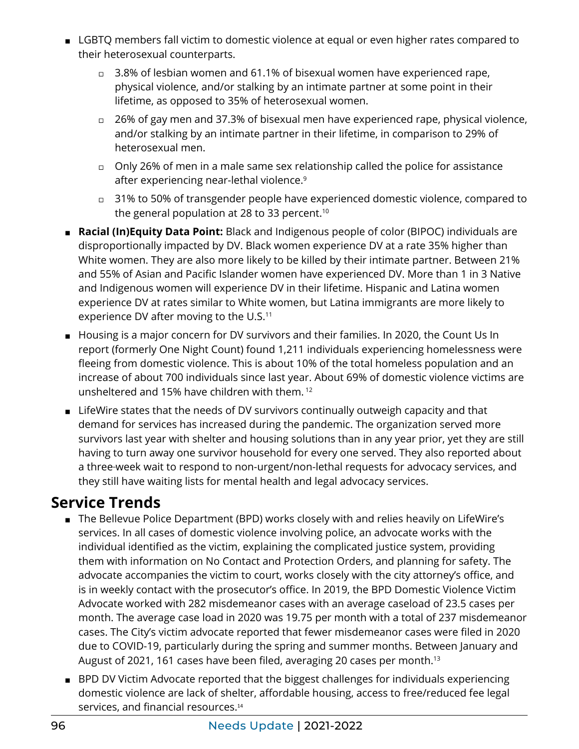- <span id="page-4-0"></span>■ LGBTQ members fall victim to domestic violence at equal or even higher rates compared to their heterosexual counterparts.
	- ◻ 3.8% of [lesbian](https://www.cdc.gov/violenceprevention/pdf/cdc_nisvs_ipv_report_2013_v17_single_a.pdf) [women](https://www.cdc.gov/violenceprevention/pdf/cdc_nisvs_ipv_report_2013_v17_single_a.pdf) and 61.1% of [bisexual](https://www.cdc.gov/violenceprevention/pdf/cdc_nisvs_ipv_report_2013_v17_single_a.pdf) [women](https://www.cdc.gov/violenceprevention/pdf/cdc_nisvs_ipv_report_2013_v17_single_a.pdf) have experienced rape, physical violence, and/or stalking by an intimate partner at some point in their lifetime, as opposed to 35% of heterosexual women.
	- ◻ 26% of gay [men](https://www.cdc.gov/violenceprevention/pdf/cdc_nisvs_ipv_report_2013_v17_single_a.pdf) and 37.3% of [bisexual](https://www.cdc.gov/violenceprevention/pdf/cdc_nisvs_ipv_report_2013_v17_single_a.pdf) [men](https://www.cdc.gov/violenceprevention/pdf/cdc_nisvs_ipv_report_2013_v17_single_a.pdf) have experienced rape, physical violence, and/or stalking by an intimate partner in their lifetime, in comparison to 29% of heterosexual men.
	- □ Only 26% of men in a [male](https://avp.org/wp-content/uploads/2017/04/ncavp_2012_ipvreport.final_.pdf) [same](https://avp.org/wp-content/uploads/2017/04/ncavp_2012_ipvreport.final_.pdf) [sex](https://avp.org/wp-content/uploads/2017/04/ncavp_2012_ipvreport.final_.pdf) [relationship](https://avp.org/wp-content/uploads/2017/04/ncavp_2012_ipvreport.final_.pdf) called the police for assistance after experiencing near-lethal violence.[9](#page-12-0)
	- ◻ 31% to 50% of transgender people have experienced domestic violence, compared to the general population at 28 to 33 percent.<sup>[10](#page-12-0)</sup>
- **Racial (In)Equity Data Point:** Black and Indigenous people of color (BIPOC) individuals are disproportionally impacted by DV. Black women experience DV at a rate 35% higher than White women. They are also more likely to be killed by their intimate partner. Between 21% and 55% of Asian and Pacific Islander women have experienced DV. More than 1 in 3 Native and Indigenous women will experience DV in their lifetime. Hispanic and Latina women experience DV at rates similar to White women, but Latina immigrants are more likely to experience DV after moving to the U.S.<sup>[11](#page-12-0)</sup>
- Housing is a major concern for DV survivors and their families. In 2020, the Count Us In report (formerly One Night Count) found 1,211 individuals experiencing homelessness were fleeing from domestic violence. This is about 10% of the total homeless population and an increase of about 700 individuals since last year. About 69% of domestic violence victims are unsheltered and 15% have children with them. [12](#page-12-0)
- LifeWire states that the needs of DV survivors continually outweigh capacity and that demand for services has increased during the pandemic. The organization served more survivors last year with shelter and housing solutions than in any year prior, yet they are still having to turn away one survivor household for every one served. They also reported about a three-week wait to respond to non-urgent/non-lethal requests for advocacy services, and they still have waiting lists for mental health and legal advocacy services.

### **Service Trends**

- The Bellevue Police Department (BPD) works closely with and relies heavily on LifeWire's services. In all cases of domestic violence involving police, an advocate works with the individual identified as the victim, explaining the complicated justice system, providing them with information on No Contact and Protection Orders, and planning for safety. The advocate accompanies the victim to court, works closely with the city attorney's office, and is in weekly contact with the prosecutor's office. In 2019, the BPD Domestic Violence Victim Advocate worked with 282 misdemeanor cases with an average caseload of 23.5 cases per month. The average case load in 2020 was 19.75 per month with a total of 237 misdemeanor cases. The City's victim advocate reported that fewer misdemeanor cases were filed in 2020 due to COVID-19, particularly during the spring and summer months. Between January and August of 2021, 161 cases have been filed, averaging 20 cases per month.<sup>[13](#page-12-0)</sup>
- BPD DV Victim Advocate reported that the biggest challenges for individuals experiencing domestic violence are lack of shelter, affordable housing, access to free/reduced fee legal services, and financial resources.<sup>[14](#page-12-0)</sup>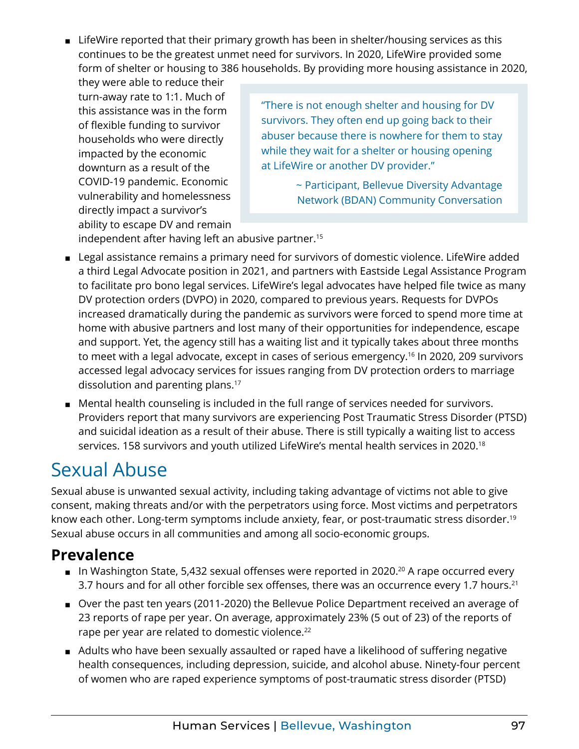<span id="page-5-0"></span>■ LifeWire reported that their primary growth has been in shelter/housing services as this continues to be the greatest unmet need for survivors. In 2020, LifeWire provided some form of shelter or housing to 386 households. By providing more housing assistance in 2020,

they were able to reduce their turn-away rate to 1:1. Much of this assistance was in the form of flexible funding to survivor households who were directly impacted by the economic downturn as a result of the COVID-19 pandemic. Economic vulnerability and homelessness directly impact a survivor's ability to escape DV and remain

"There is not enough shelter and housing for DV survivors. They often end up going back to their abuser because there is nowhere for them to stay while they wait for a shelter or housing opening at LifeWire or another DV provider."

> ~ Participant, Bellevue Diversity Advantage Network (BDAN) Community Conversation

independent after having left an abusive partner.<sup>15</sup>

- Legal assistance remains a primary need for survivors of domestic violence. LifeWire added a third Legal Advocate position in 2021, and partners with Eastside Legal Assistance Program to facilitate pro bono legal services. LifeWire's legal advocates have helped file twice as many DV protection orders (DVPO) in 2020, compared to previous years. Requests for DVPOs increased dramatically during the pandemic as survivors were forced to spend more time at home with abusive partners and lost many of their opportunities for independence, escape and support. Yet, the agency still has a waiting list and it typically takes about three months to meet with a legal advocate, except in cases of serious emergency[.16](#page-12-0) In 2020, 209 survivors accessed legal advocacy services for issues ranging from DV protection orders to marriage dissolution and parenting plans.<sup>[17](#page-12-0)</sup>
- Mental health counseling is included in the full range of services needed for survivors. Providers report that many survivors are experiencing Post Traumatic Stress Disorder (PTSD) and suicidal ideation as a result of their abuse. There is still typically a waiting list to access services. 158 survivors and youth utilized LifeWire's mental health services in 2020.<sup>18</sup>

### Sexual Abuse

Sexual abuse is unwanted sexual activity, including taking advantage of victims not able to give consent, making threats and/or with the perpetrators using force. Most victims and perpetrators know each other. Long-term symptoms include anxiety, fear, or post-traumatic stress disorder.<sup>[19](#page-12-0)</sup> Sexual abuse occurs in all communities and among all socio-economic groups.

- In Washington State, 5,432 sexual offenses were reported in 2020.<sup>20</sup> A rape occurred every 3.7 hours and for all other forcible sex offenses, there was an occurrence every 1.7 hours.<sup>[21](#page-12-0)</sup>
- Over the past ten years (2011-2020) the Bellevue Police Department received an average of 23 reports of rape per year. On average, approximately 23% (5 out of 23) of the reports of rape per year are related to domestic violence.<sup>[22](#page-12-0)</sup>
- Adults who have been sexually assaulted or raped have a likelihood of suffering negative health consequences, including depression, suicide, and alcohol abuse. Ninety-four percent of women who are raped experience symptoms of post-traumatic stress disorder (PTSD)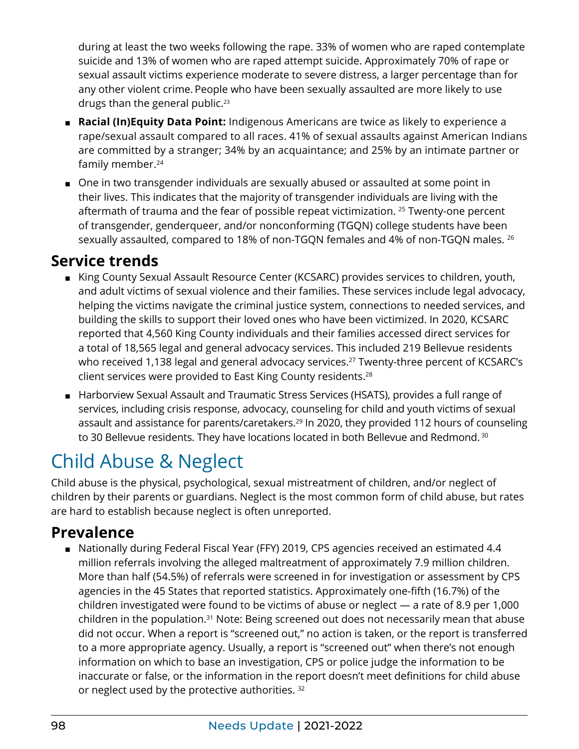<span id="page-6-0"></span>during at least the two weeks following the rape. 33% of women who are raped contemplate suicide and 13% of women who are raped attempt suicide. Approximately 70% of rape or sexual assault victims experience moderate to severe distress, a larger percentage than for any other violent crime. People who have been sexually assaulted are more likely to use drugs than the general public.<sup>23</sup>

- **Racial (In)Equity Data Point:** Indigenous Americans are twice as likely to experience a rape/sexual assault compared to all races. 41% of sexual assaults against American Indians are committed by a stranger; 34% by an acquaintance; and 25% by an intimate partner or family member.[24](#page-12-0)
- One in two transgender individuals are sexually abused or assaulted at some point in their lives. This indicates that the majority of transgender individuals are living with the aftermath of trauma and the fear of possible repeat victimization. [25](#page-12-0) Twenty-one percent of transgender, genderqueer, and/or nonconforming (TGQN) college students have been sexually assaulted, compared to 18% of non-TGQN females and 4% of non-TGQN males. [26](#page-12-0)

#### **Service trends**

- King County Sexual Assault Resource Center (KCSARC) provides services to children, youth, and adult victims of sexual violence and their families. These services include legal advocacy, helping the victims navigate the criminal justice system, connections to needed services, and building the skills to support their loved ones who have been victimized. In 2020, KCSARC reported that 4,560 King County individuals and their families accessed direct services for a total of 18,565 legal and general advocacy services. This included 219 Bellevue residents who received 1,138 legal and general advocacy services.<sup>27</sup> Twenty-three percent of KCSARC's client services were provided to East King County residents.[28](#page-13-0)
- Harborview Sexual Assault and Traumatic Stress Services (HSATS), provides a full range of services, including crisis response, advocacy, counseling for child and youth victims of sexual assault and assistance for parents/caretakers.<sup>[29](#page-13-0)</sup> In 2020, they provided 112 hours of counseling to [30](#page-13-0) Bellevue residents. They have locations located in both Bellevue and Redmond. 30

## Child Abuse & Neglect

Child abuse is the physical, psychological, sexual mistreatment of children, and/or neglect of children by their parents or guardians. Neglect is the most common form of child abuse, but rates are hard to establish because neglect is often unreported.

### **Prevalence**

■ Nationally during Federal Fiscal Year (FFY) 2019, CPS agencies received an estimated 4.4 million referrals involving the alleged maltreatment of approximately 7.9 million children. More than half (54.5%) of referrals were screened in for investigation or assessment by CPS agencies in the 45 States that reported statistics. Approximately one-fifth (16.7%) of the children investigated were found to be victims of abuse or neglect — a rate of 8.9 per 1,000 children in the population.<sup>31</sup> Note: Being screened out does not necessarily mean that abuse did not occur. When a report is "screened out," no action is taken, or the report is transferred to a more appropriate agency. Usually, a report is "screened out" when there's not enough information on which to base an investigation, CPS or police judge the information to be inaccurate or false, or the information in the report doesn't meet definitions for child abuse or neglect used by the protective authorities. [32](#page-13-0)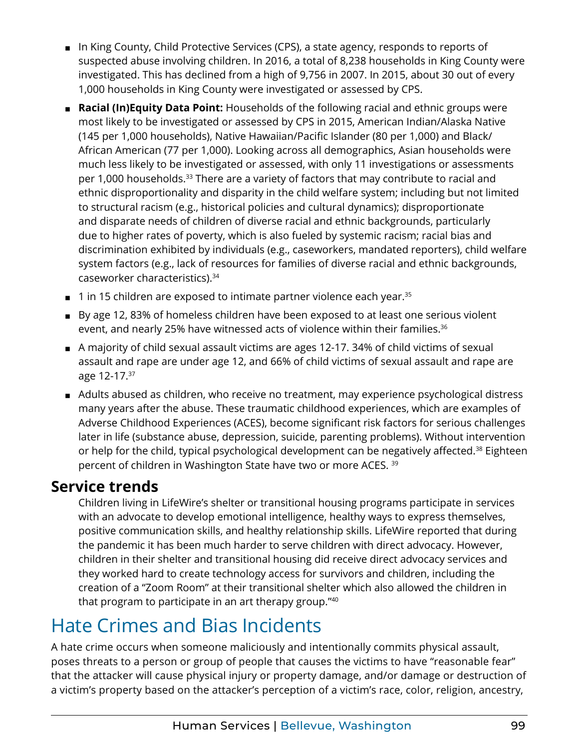- <span id="page-7-0"></span>■ In King County, Child Protective Services (CPS), a state agency, responds to reports of suspected abuse involving children. In 2016, a total of [8,238 households in King County](https://goo.gl/36BJrW) were investigated. This has declined from a high of [9,756 in 2007](https://goo.gl/36BJrW for counts). In 2015, about 30 out of every 1,000 households in King County were investigated or assessed by CPS.
- **Racial (In)Equity Data Point:** Households of the following racial and ethnic groups were [most likely to be investigated or assessed by CPS in 2015,](https://goo.gl/miFpEo for rates) American Indian/Alaska Native (145 per 1,000 households), Native Hawaiian/Pacific Islander (80 per 1,000) and Black/ African American (77 per 1,000). Looking across all demographics, Asian households were much less likely to be investigated or assessed, with only 11 investigations or assessments per 1,000 households.[33](#page-13-0) There are a variety of factors that may contribute to racial and ethnic disproportionality and disparity in the child welfare system; including but not limited to structural racism (e.g., historical policies and cultural dynamics); disproportionate and disparate needs of children of diverse racial and ethnic backgrounds, particularly due to higher rates of poverty, which is also fueled by systemic racism; racial bias and discrimination exhibited by individuals (e.g., caseworkers, mandated reporters), child welfare system factors (e.g., lack of resources for families of diverse racial and ethnic backgrounds, caseworker characteristics).[34](#page-13-0)
- $\blacksquare$  1 in 15 [children](https://www.lifewire.org/get-informed/helping-loved-ones/kids/) are exposed to intimate partner violence each year.<sup>35</sup>
- By age 12, 83% of homeless children have been exposed to at least one serious violent event, and nearly 25% have witnessed acts of violence within their families[.36](#page-13-0)
- A majority of child sexual assault victims are ages 12-17. 34% of child victims of sexual assault and rape are under age 12, and 66% of child victims of sexual assault and rape are age 12-17.[37](#page-13-0)
- Adults abused as children, who receive no treatment, may experience psychological distress many years after the abuse. These traumatic childhood experiences, which are examples of Adverse Childhood Experiences (ACES), become significant risk factors for serious challenges later in life (substance abuse, depression, suicide, parenting problems). Without intervention or help for the child, typical psychological development can be negatively affected.<sup>38</sup> Eighteen percent of children in Washington State have two or more ACES. [39](#page-13-0)

#### **Service trends**

Children living in LifeWire's shelter or transitional housing programs participate in services with an advocate to develop emotional intelligence, healthy ways to express themselves, positive communication skills, and healthy relationship skills. LifeWire reported that during the pandemic it has been much harder to serve children with direct advocacy. However, children in their shelter and transitional housing did receive direct advocacy services and they worked hard to create technology access for survivors and children, including the creation of a "Zoom Room" at their transitional shelter which also allowed the children in that program to participate in an art therapy group."[40](#page-13-0)

## Hate Crimes and Bias Incidents

A hate crime occurs when someone maliciously and intentionally commits physical assault, poses threats to a person or group of people that causes the victims to have "reasonable fear" that the attacker will cause physical injury or property damage, and/or damage or destruction of a victim's property based on the attacker's perception of a victim's race, color, religion, ancestry,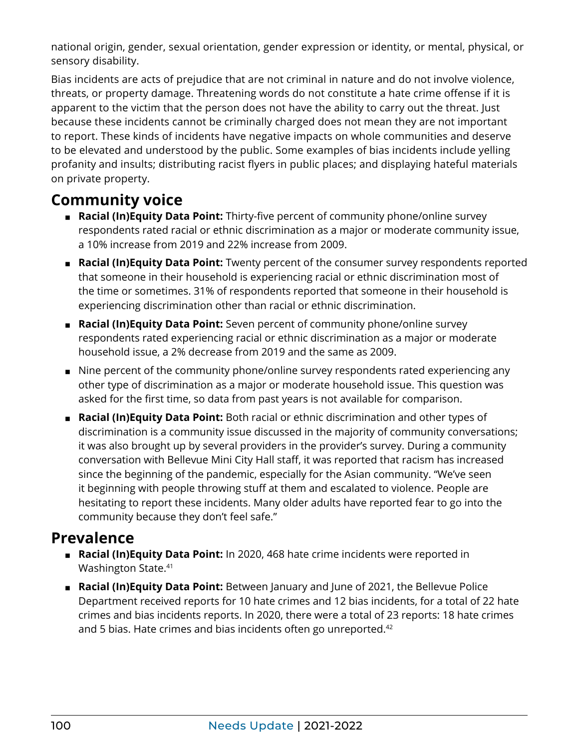<span id="page-8-0"></span>national origin, gender, sexual orientation, gender expression or identity, or mental, physical, or sensory disability.

Bias incidents are acts of prejudice that are not criminal in nature and do not involve violence, threats, or property damage. Threatening words do not constitute a hate crime offense if it is apparent to the victim that the person does not have the ability to carry out the threat. Just because these incidents cannot be criminally charged does not mean they are not important to report. These kinds of incidents have negative impacts on whole communities and deserve to be elevated and understood by the public. Some examples of bias incidents include yelling profanity and insults; distributing racist flyers in public places; and displaying hateful materials on private property.

#### **Community voice**

- **Racial (In)Equity Data Point:** Thirty-five percent of community phone/online survey respondents rated racial or ethnic discrimination as a major or moderate community issue, a 10% increase from 2019 and 22% increase from 2009.
- **Racial (In)Equity Data Point:** Twenty percent of the consumer survey respondents reported that someone in their household is experiencing racial or ethnic discrimination most of the time or sometimes. 31% of respondents reported that someone in their household is experiencing discrimination other than racial or ethnic discrimination.
- **Racial (In)Equity Data Point:** Seven percent of community phone/online survey respondents rated experiencing racial or ethnic discrimination as a major or moderate household issue, a 2% decrease from 2019 and the same as 2009.
- Nine percent of the community phone/online survey respondents rated experiencing any other type of discrimination as a major or moderate household issue. This question was asked for the first time, so data from past years is not available for comparison.
- **Racial (In)Equity Data Point:** Both racial or ethnic discrimination and other types of discrimination is a community issue discussed in the majority of community conversations; it was also brought up by several providers in the provider's survey. During a community conversation with Bellevue Mini City Hall staff, it was reported that racism has increased since the beginning of the pandemic, especially for the Asian community. "We've seen it beginning with people throwing stuff at them and escalated to violence. People are hesitating to report these incidents. Many older adults have reported fear to go into the community because they don't feel safe."

- **Racial (In)Equity Data Point:** In 2020, 468 hate crime incidents were reported in Washington State.<sup>41</sup>
- **Racial (In)Equity Data Point:** Between January and June of 2021, the Bellevue Police Department received reports for 10 hate crimes and 12 bias incidents, for a total of 22 hate crimes and bias incidents reports. In 2020, there were a total of 23 reports: 18 hate crimes and 5 bias. Hate crimes and bias incidents often go unreported.<sup>42</sup>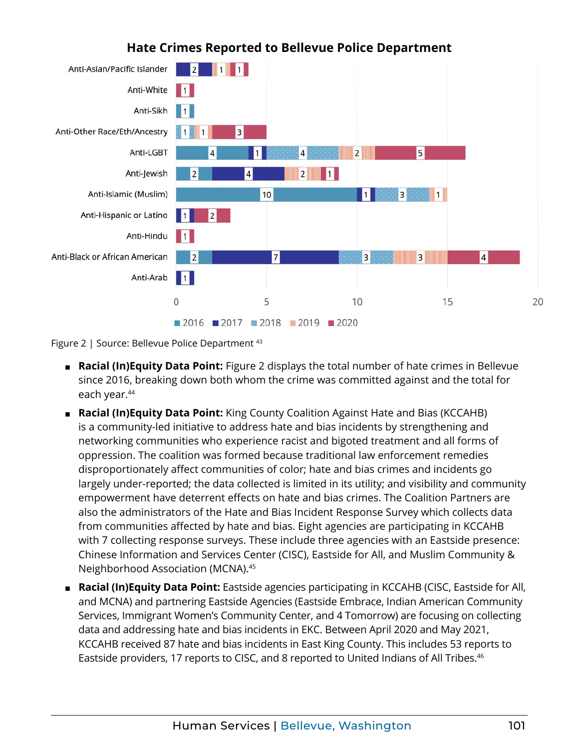<span id="page-9-0"></span>

#### **Hate Crimes Reported to Bellevue Police Department**

Figure 2 | Source: Bellevue Police Department<sup>43</sup>

- **Racial (In)Equity Data Point:** Figure 2 displays the total number of hate crimes in Bellevue since 2016, breaking down both whom the crime was committed against and the total for each year.<sup>44</sup>
- **Racial (In)Equity Data Point:** King County Coalition Against Hate and Bias (KCCAHB) is a community-led initiative to address hate and bias incidents by strengthening and networking communities who experience racist and bigoted treatment and all forms of oppression. The coalition was formed because traditional law enforcement remedies disproportionately affect communities of color; hate and bias crimes and incidents go largely under-reported; the data collected is limited in its utility; and visibility and community empowerment have deterrent effects on hate and bias crimes. The [Coalition Partners](https://kingcounty.gov/elected/executive/equity-social-justice/Coalition-Against-Hate-And-Bias/Coalition-Partners.aspx) are also the administrators of the [Hate and Bias Incident Response Survey](https://kingcounty.gov/elected/executive/equity-social-justice/Coalition-Against-Hate-And-Bias/Coalition-Survey.aspx) which collects data from communities affected by hate and bias. Eight agencies are participating in KCCAHB with 7 collecting response surveys. These include three agencies with an Eastside presence: Chinese Information and Services Center (CISC), Eastside for All, and Muslim Community & Neighborhood Association (MCNA).[45](#page-13-0)
- **Racial (In)Equity Data Point:** Eastside agencies participating in KCCAHB (CISC, Eastside for All, and MCNA) and partnering Eastside Agencies (Eastside Embrace, Indian American Community Services, Immigrant Women's Community Center, and 4 Tomorrow) are focusing on collecting data and addressing hate and bias incidents in EKC. Between April 2020 and May 2021, KCCAHB received 87 hate and bias incidents in East King County. This includes 53 reports to Eastside providers, 17 reports to CISC, and 8 reported to United Indians of All Tribes.<sup>[46](#page-13-0)</sup>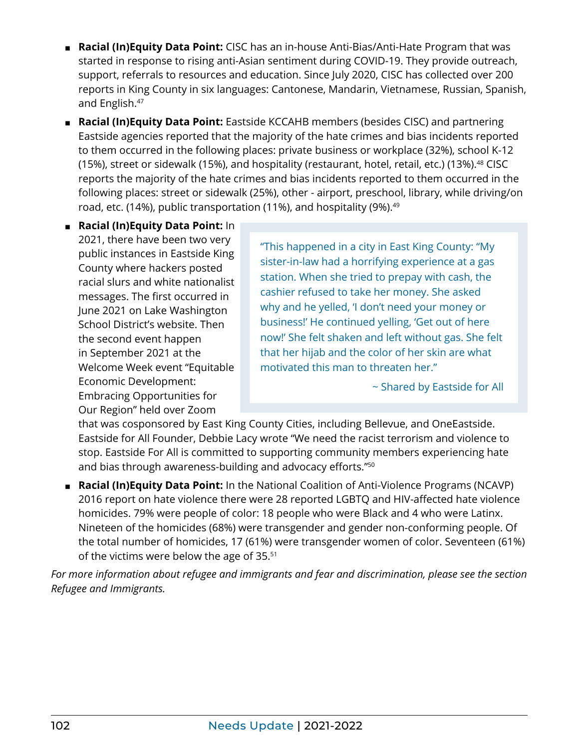- <span id="page-10-0"></span>■ **Racial (In)Equity Data Point:** CISC has an in-house Anti-Bias/Anti-Hate Program that was started in response to rising anti-Asian sentiment during COVID-19. They provide outreach, support, referrals to resources and education. Since July 2020, CISC has collected over 200 reports in King County in six languages: Cantonese, Mandarin, Vietnamese, Russian, Spanish, and English.[47](#page-13-0)
- **Racial (In)Equity Data Point:** Eastside KCCAHB members (besides CISC) and partnering Eastside agencies reported that the majority of the hate crimes and bias incidents reported to them occurred in the following places: private business or workplace (32%), school K-12 (15%), street or sidewalk (15%), and hospitality (restaurant, hotel, retail, etc.) (13%).<sup>48</sup> CISC reports the majority of the hate crimes and bias incidents reported to them occurred in the following places: street or sidewalk (25%), other - airport, preschool, library, while driving/on road, etc. (14%), public transportation (11%), and hospitality (9%).<sup>[49](#page-13-0)</sup>
- ◼ **Racial (In)Equity Data Point:** In 2021, there have been two very public instances in Eastside King County where hackers posted racial slurs and white nationalist messages. The first occurred in June 2021 on Lake Washington School District's website. Then the second event happen in September 2021 at the Welcome Week event "Equitable Economic Development: Embracing Opportunities for Our Region" held over Zoom

"This happened in a city in East King County: "My sister-in-law had a horrifying experience at a gas station. When she tried to prepay with cash, the cashier refused to take her money. She asked why and he yelled, 'I don't need your money or business!' He continued yelling, 'Get out of here now!' She felt shaken and left without gas. She felt that her hijab and the color of her skin are what motivated this man to threaten her."

~ Shared by Eastside for All

that was cosponsored by East King County Cities, including Bellevue, and OneEastside. Eastside for All Founder, Debbie Lacy wrote "We need the racist terrorism and violence to stop. Eastside For All is committed to supporting community members experiencing hate and bias through awareness-building and advocacy efforts."<sup>[50](#page-13-0)</sup>

■ **Racial (In)Equity Data Point:** In the National Coalition of Anti-Violence Programs (NCAVP) 2016 report on hate violence there were 28 reported LGBTQ and HIV-affected hate violence homicides. 79% were people of color: 18 people who were Black and 4 who were Latinx. Nineteen of the homicides (68%) were transgender and gender non-conforming people. Of the total number of homicides, 17 (61%) were transgender women of color. Seventeen (61%) of the victims were below the age of 35[.51](#page-13-0)

*For more information about refugee and immigrants and fear and discrimination, please see the section Refugee and Immigrants.*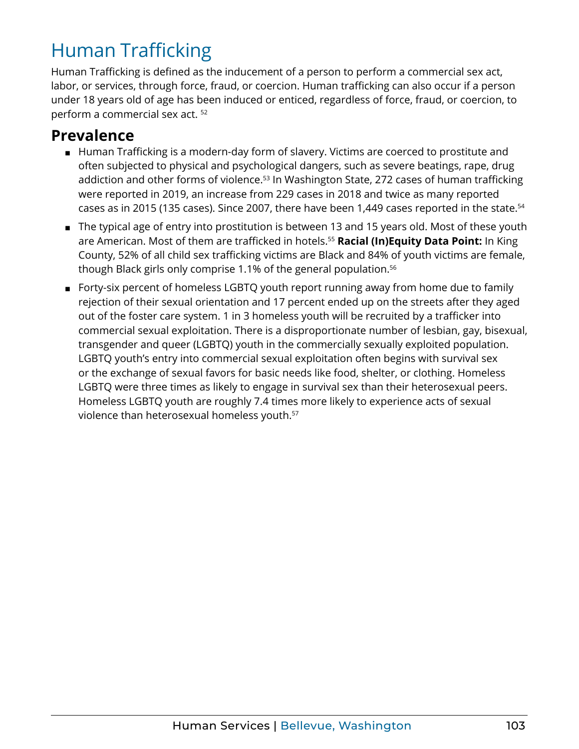## <span id="page-11-0"></span>Human Trafficking

Human Trafficking is defined as the inducement of a person to perform a commercial sex act, labor, or services, through force, fraud, or coercion. Human trafficking can also occur if a person under 18 years old of age has been induced or enticed, regardless of force, fraud, or coercion, to perform a commercial sex act. [52](#page-13-0)

- Human Trafficking is a modern-day form of slavery. Victims are coerced to prostitute and often subjected to physical and psychological dangers, such as severe beatings, rape, drug addiction and other forms of violence.<sup>53</sup> In Washington State, 272 cases of human trafficking were reported in 2019, an increase from 229 cases in 2018 and twice as many reported cases as in 2015 (135 cases). Since 2007, there have been 1,449 cases reported in the state.<sup>[54](#page-14-0)</sup>
- The typical age of entry into prostitution is between 13 and 15 years old. Most of these youth are American. Most of them are trafficked in hotels.[55](#page-14-0) **Racial (In)Equity Data Point:** In King County, 52% of all child sex trafficking victims are Black and 84% of youth victims are female, though Black girls only comprise 1.1% of the general population.<sup>56</sup>
- [Forty-six percent](https://web.archive.org/web/20200308061602/http:/williamsinstitute.law.ucla.edu/wp-content/uploads/Durso-Gates-LGBT-Homeless-Youth-Survey-July-2012.pdf) of homeless LGBTQ youth report running away from home due to family rejection of their sexual orientation and 17 percent ended up on the streets after they aged out of the foster care system. 1 in 3 homeless youth will be recruited by a trafficker into commercial sexual exploitation. There is a disproportionate number of lesbian, gay, bisexual, transgender and queer ([LGBT](https://web.archive.org/web/20151022171248/http:/www.depts.ttu.edu:80/scc/Virtual_Library/lgbtq.php)Q) youth in the commercially sexually exploited population. LGBTQ youth's entry into commercial sexual exploitation often begins with [survival sex](http://en.wikipedia.org/wiki/Survival_sex)  or the exchange of sexual favors for basic needs like food, shelter, or clothing. Homeless LGBTQ were [three times as likely](https://web.archive.org/web/20130408224958/http:/www.thetaskforce.org/downloads/HomelessYouth.pdf) to engage in survival sex than their heterosexual peers. Homeless LGBTQ youth are roughly [7.4 times more likely](http://www.nationalhomeless.org/factsheets/lgbtq.html) to experience acts of sexual violence than heterosexual homeless youth.[57](#page-14-0)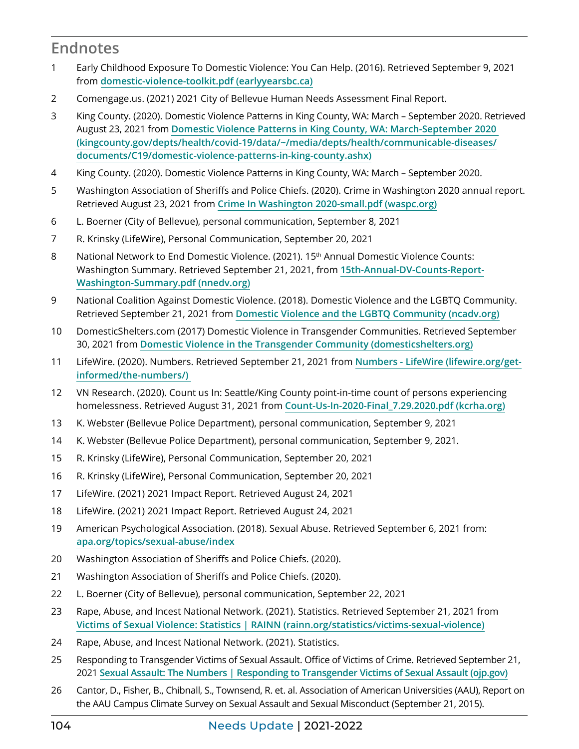#### <span id="page-12-0"></span>**Endnotes**

- Early Childhood Exposure To Domestic Violence: You Can Help. (2016). Retrieved September 9, 2021 from **[domestic-violence-toolkit.pdf \(earlyyearsbc.ca\)](https://earlyyearsbc.ca/wp-content/uploads/2017/10/domestic-violence-toolkit.pdf)**
- Comengage.us. (2021) 2021 City of Bellevue Human Needs Assessment Final Report.
- King County. (2020). Domestic Violence Patterns in King County, WA: March September 2020. Retrieved August 23, 2021 from **[Domestic Violence Patterns in King County, WA: March-September](https://kingcounty.gov/depts/health/covid-19/data/~/media/depts/health/communicable-diseases/documents/C19/domestic-violence-patterns-in-king-county.ashx) 2020 (kingcounty.gov/depts/health/covid-19/data/~/media/depts/health/communicable-diseases/ documents/C19/domestic-violence-patterns-in-king-county.ashx)**
- King County. (2020). Domestic Violence Patterns in King County, WA: March September 2020.
- Washington Association of Sheriffs and Police Chiefs. (2020). Crime in Washington 2020 annual report. Retrieved August 23, 2021 from **Crime [In Washington 2020-small.pdf \(waspc.org\)](https://www.waspc.org/assets/CJIS/Crime In Washington 2020-small.pdf)**
- L. Boerner (City of Bellevue), personal communication, September 8, 2021
- R. Krinsky (LifeWire), Personal Communication, September 20, 2021
- National Network to End Domestic Violence. (2021). 15<sup>th</sup> Annual Domestic Violence Counts: Washington Summary. Retrieved September 21, 2021, from **[15th-Annual-DV-Counts-Report-](https://nnedv.org/wp-content/uploads/2021/05/15th-Annual-DV-Counts-Report-Washington-Summary.pdf)[Washington-Summary.pdf \(nnedv.org\)](https://nnedv.org/wp-content/uploads/2021/05/15th-Annual-DV-Counts-Report-Washington-Summary.pdf)**
- National Coalition Against Domestic Violence. (2018). Domestic Violence and the LGBTQ Community. Retrieved September 21, 2021 from **Domestic Violence and [the LGBTQ Community \(ncadv.org\)](https://ncadv.org/blog/posts/domestic-violence-and-the-lgbtq-community)**
- DomesticShelters.com (2017) Domestic Violence in Transgender Communities. Retrieved September 30, 2021 from **Domestic [Violence in the Transgender Community \(domesticshelters.org\)](https://www.domesticshelters.org/articles/race-gender-religion-immigration/domestic-violence-in-the-transgender-community)**
- LifeWire. (2020). Numbers. Retrieved September 21, 2021 from **[Numbers LifeWire](https://www.lifewire.org/get-informed/the-numbers/) (lifewire.org/getinformed/the-numbers/)**
- VN Research. (2020). Count us In: Seattle/King County point-in-time count of persons experiencing homelessness. Retrieved August 31, 2021 from **[Count-Us-In-2020-Final\\_7.29.2020.pdf \(kcrha.](https://kcrha.org/wp-content/uploads/2020/07/Count-Us-In-2020-Final_7.29.2020.pdf)org)**
- K. Webster (Bellevue Police Department), personal communication, September 9, 2021
- K. Webster (Bellevue Police Department), personal communication, September 9, 2021.
- R. Krinsky (LifeWire), Personal Communication, September 20, 2021
- R. Krinsky (LifeWire), Personal Communication, September 20, 2021
- LifeWire. (2021) 2021 Impact Report. Retrieved August 24, 2021
- LifeWire. (2021) 2021 Impact Report. Retrieved August 24, 2021
- American Psychological Association. (2018). Sexual Abuse. Retrieved September 6, 2021 from: **[apa.org/topics/sexual-abuse/index](https://www.apa.org/topics/sexual-abuse/index)**
- Washington Association of Sheriffs and Police Chiefs. (2020).
- Washington Association of Sheriffs and Police Chiefs. (2020).
- L. Boerner (City of Bellevue), personal communication, September 22, 2021
- Rape, Abuse, and Incest National Network. (2021). Statistics. Retrieved September 21, 2021 from **[Victims of Sexual Violence: Statistics | RAINN](https://www.rainn.org/statistics/victims-sexual-violence) (rainn.org/statistics/victims-sexual-violence)**
- Rape, Abuse, and Incest National Network. (2021). Statistics.
- Responding to Transgender Victims of Sexual Assault. Office of Victims of Crime. Retrieved September 21, **Sexual Assault: The Numbers | Responding to Transgender Victims of Sexual Assault (ojp.gov)**
- Cantor, D., Fisher, B., Chibnall, S., Townsend, R. et. al. Association of American Universities (AAU), Report on the AAU Campus Climate Survey on Sexual Assault and Sexual Misconduct (September 21, 2015).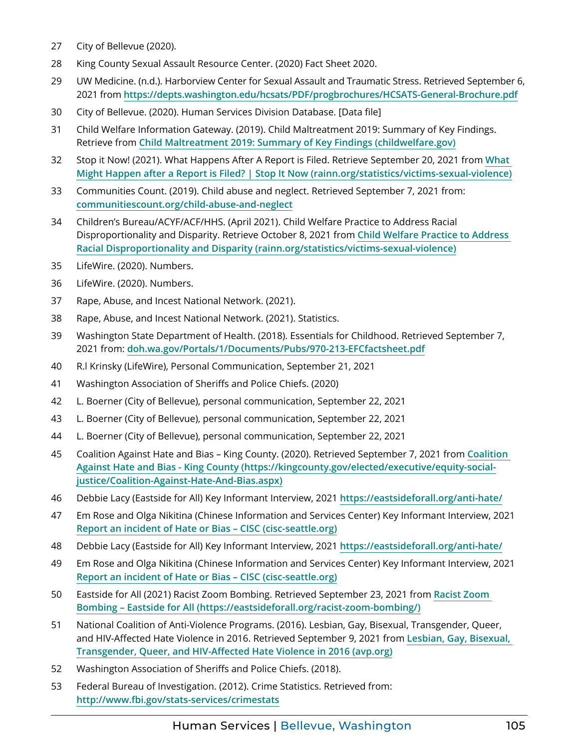- <span id="page-13-0"></span>City of Bellevue (2020).
- King County Sexual Assault Resource Center. (2020) Fact Sheet 2020.
- UW Medicine. (n.d.). Harborview Center for Sexual Assault and Traumatic Stress. Retrieved September 6, 2021 from **https://depts.washington[.edu/hcsats/PDF/progbrochures/HCSATS-General-Brochure.pdf](https://depts.washington.edu/hcsats/PDF/progbrochures/HCSATS-General-Brochure.pdf)**
- City of Bellevue. (2020). Human Services Division Database. [Data file]
- Child Welfare Information Gateway. (2019). Child Maltreatment 2019: Summary of Key Findings. Retrieve from **[Child Maltreatment 2019: Summary of Key Findings \(childwelfare.gov\)](https://www.childwelfare.gov/pubpdfs/canstats.pdf)**
- Stop it Now! (2021). What Happens After A Report is Filed. Retrieve September 20, 2021 from **[What](https://www.rainn.org/statistics/victims-sexual-violence)  [Might Happen after a Report is Filed? | Stop It Now](https://www.rainn.org/statistics/victims-sexual-violence) (rainn.org/statistics/victims-sexual-violence)**
- Communities Count. (2019). Child abuse and neglect. Retrieved September 7, 2021 from: **[communitiescount.org/child-abuse-and-neglect](https://www.communitiescount.org/child-abuse-and-neglect)**
- Children's Bureau/ACYF/ACF/HHS. (April 2021). Child Welfare Practice to Address Racial Disproportionality and Disparity. Retrieve October 8, 2021 from **[Child Welfare Practice to Address](https://www.rainn.org/statistics/victims-sexual-violence)  [Racial Disproportionality and Disparity](https://www.rainn.org/statistics/victims-sexual-violence) (rainn.org/statistics/victims-sexual-violence)**
- LifeWire. (2020). Numbers.
- LifeWire. (2020). Numbers.
- Rape, Abuse, and Incest National Network. (2021).
- Rape, Abuse, and Incest National Network. (2021). Statistics.
- Washington State Department of Health. (2018). Essentials for Childhood. Retrieved September 7, 2021 from: **doh.wa.gov/Portals[/1/Documents/Pubs/970-213-EFCfactsheet.pdf](https://www.doh.wa.gov/Portals/1/Documents/Pubs/970-213-EFCfactsheet.pdf)**
- R.l Krinsky (LifeWire), Personal Communication, September 21, 2021
- Washington Association of Sheriffs and Police Chiefs. (2020)
- L. Boerner (City of Bellevue), personal communication, September 22, 2021
- L. Boerner (City of Bellevue), personal communication, September 22, 2021
- L. Boerner (City of Bellevue), personal communication, September 22, 2021
- Coalition Against Hate and Bias King County. (2020). Retrieved September 7, 2021 from **[Coalition](https://kingcounty.gov/elected/executive/equity-social-justice/Coalition-Against-Hate-And-Bias.aspx)  [Against Hate and Bias - King County](https://kingcounty.gov/elected/executive/equity-social-justice/Coalition-Against-Hate-And-Bias.aspx) (https://kingcounty.gov/elected/executive/equity-socialjustice/Coalition-Against-Hate-And-Bias.aspx)**
- Debbie Lacy (Eastside for All) Key Informant Interview, 2021 **[https://eastsideforall.org/anti-hate/](https://gcc02.safelinks.protection.outlook.com/?url=https%3A%2F%2Feastsideforall.org%2Fanti-hate%2F&data=04%7C01%7CCStangland%40bellevuewa.gov%7C8513e160f15a43d0e89f08d97e3177ba%7C222d2edd825545bd859752141b82f713%7C0%7C0%7C637679573214101301%7CUnknown%7CTWFpbGZsb3d8eyJWIjoiMC4wLjAwMDAiLCJQIjoiV2luMzIiLCJBTiI6Ik1haWwiLCJXVCI6Mn0%3D%7C1000&sdata=dAa%2FYdQM0jvoj43%2FbtXzm0kWIPZr9QpMr4%2Fb7TxOhyw%3D&reserved=0)**
- Em Rose and Olga Nikitina (Chinese Information and Services Center) Key Informant Interview, 2021 **[Report an incident of Hate or Bias – CISC \(cisc](https://cisc-seattle.org/report-an-incident-of-hate-or-bias/)-seattle.org)**
- Debbie Lacy (Eastside for All) Key Informant Interview, 2021 **https://eastsideforall.org/anti-hate/**
- Em Rose and Olga Nikitina (Chinese Information and Services Center) Key Informant Interview, 2021 **[Report an incident of Hate or Bias](https://cisc-seattle.org/report-an-incident-of-hate-or-bias/) – CISC (cisc-seattle.org)**
- Eastside for All (2021) Racist Zoom Bombing. Retrieved September 23, 2021 from **[Racist Zoom](https://eastsideforall.org/racist-zoom-bombing/)  [Bombing – Eastside for All](https://eastsideforall.org/racist-zoom-bombing/) (https://eastsideforall.org/racist-zoom-bombing/)**
- National Coalition of Anti-Violence Programs. (2016). Lesbian, Gay, Bisexual, Transgender, Queer, and HIV-Affected Hate Violence in 2016. Retrieved September 9, 2021 from **[Lesbian, Gay, Bisexual,](http://avp.org/wp-content/uploads/2017/06/NCAVP_2016HateViolence_REPORT.pdf)  [Transgender, Queer, and HIV-Affected Hate Violence in 2016 \(avp.org\)](http://avp.org/wp-content/uploads/2017/06/NCAVP_2016HateViolence_REPORT.pdf)**
- Washington Association of Sheriffs and Police Chiefs. (2018).
- Federal Bureau of Investigation. (2012). Crime Statistics. Retrieved from: **[http://www.fbi.gov/stats-services/crimestats](https://www.fbi.gov/services/cjis/ucr/)**